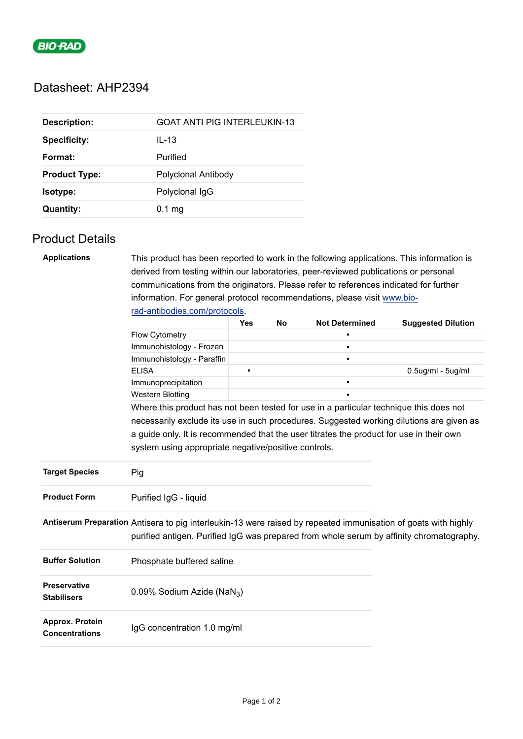

## Datasheet: AHP2394

| <b>Description:</b>  | GOAT ANTI PIG INTERLEUKIN-13 |
|----------------------|------------------------------|
| <b>Specificity:</b>  | $IL-13$                      |
| Format:              | Purified                     |
| <b>Product Type:</b> | Polyclonal Antibody          |
| Isotype:             | Polyclonal IgG               |
| <b>Quantity:</b>     | $0.1 \text{ mg}$             |

## Product Details

| <b>Applications</b>                       | This product has been reported to work in the following applications. This information is                                                                         |                |    |                       |                                                                                                                                                                                                            |  |  |  |
|-------------------------------------------|-------------------------------------------------------------------------------------------------------------------------------------------------------------------|----------------|----|-----------------------|------------------------------------------------------------------------------------------------------------------------------------------------------------------------------------------------------------|--|--|--|
|                                           | derived from testing within our laboratories, peer-reviewed publications or personal                                                                              |                |    |                       |                                                                                                                                                                                                            |  |  |  |
|                                           | communications from the originators. Please refer to references indicated for further<br>information. For general protocol recommendations, please visit www.bio- |                |    |                       |                                                                                                                                                                                                            |  |  |  |
|                                           |                                                                                                                                                                   |                |    |                       |                                                                                                                                                                                                            |  |  |  |
|                                           | rad-antibodies.com/protocols.                                                                                                                                     |                |    |                       |                                                                                                                                                                                                            |  |  |  |
|                                           |                                                                                                                                                                   | Yes            | No | <b>Not Determined</b> | <b>Suggested Dilution</b>                                                                                                                                                                                  |  |  |  |
|                                           | Flow Cytometry                                                                                                                                                    |                |    |                       |                                                                                                                                                                                                            |  |  |  |
|                                           | Immunohistology - Frozen                                                                                                                                          |                |    | $\blacksquare$        |                                                                                                                                                                                                            |  |  |  |
|                                           | Immunohistology - Paraffin                                                                                                                                        |                |    |                       |                                                                                                                                                                                                            |  |  |  |
|                                           | <b>ELISA</b>                                                                                                                                                      | $\blacksquare$ |    |                       | $0.5$ ug/ml - $5$ ug/ml                                                                                                                                                                                    |  |  |  |
|                                           | Immunoprecipitation                                                                                                                                               |                |    | $\blacksquare$        |                                                                                                                                                                                                            |  |  |  |
|                                           | <b>Western Blotting</b>                                                                                                                                           |                |    |                       |                                                                                                                                                                                                            |  |  |  |
|                                           | Where this product has not been tested for use in a particular technique this does not                                                                            |                |    |                       |                                                                                                                                                                                                            |  |  |  |
|                                           |                                                                                                                                                                   |                |    |                       | necessarily exclude its use in such procedures. Suggested working dilutions are given as                                                                                                                   |  |  |  |
|                                           | a guide only. It is recommended that the user titrates the product for use in their own                                                                           |                |    |                       |                                                                                                                                                                                                            |  |  |  |
|                                           | system using appropriate negative/positive controls.                                                                                                              |                |    |                       |                                                                                                                                                                                                            |  |  |  |
| <b>Target Species</b>                     | Pig                                                                                                                                                               |                |    |                       |                                                                                                                                                                                                            |  |  |  |
| <b>Product Form</b>                       | Purified IgG - liquid                                                                                                                                             |                |    |                       |                                                                                                                                                                                                            |  |  |  |
|                                           |                                                                                                                                                                   |                |    |                       | Antiserum Preparation Antisera to pig interleukin-13 were raised by repeated immunisation of goats with highly<br>purified antigen. Purified IgG was prepared from whole serum by affinity chromatography. |  |  |  |
| <b>Buffer Solution</b>                    | Phosphate buffered saline                                                                                                                                         |                |    |                       |                                                                                                                                                                                                            |  |  |  |
| <b>Preservative</b><br><b>Stabilisers</b> | 0.09% Sodium Azide (NaN <sub>3</sub> )                                                                                                                            |                |    |                       |                                                                                                                                                                                                            |  |  |  |
| Approx. Protein<br><b>Concentrations</b>  | IgG concentration 1.0 mg/ml                                                                                                                                       |                |    |                       |                                                                                                                                                                                                            |  |  |  |